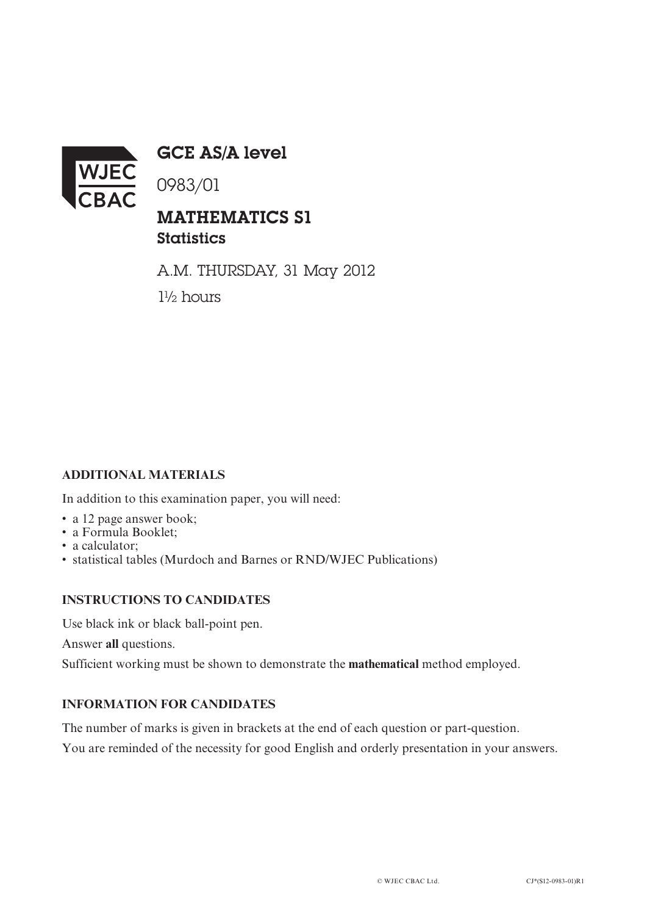

GCE AS/A level

0983/01

## MATHEMATICS S1 **Statistics**

A.M. THURSDAY, 31 May 2012 1½ hours

## **ADDITIONAL MATERIALS**

In addition to this examination paper, you will need:

- a 12 page answer book;
- a Formula Booklet;
- a calculator:
- statistical tables (Murdoch and Barnes or RND/WJEC Publications)

## **INSTRUCTIONS TO CANDIDATES**

Use black ink or black ball-point pen.

Answer **all** questions.

Sufficient working must be shown to demonstrate the **mathematical** method employed.

## **INFORMATION FOR CANDIDATES**

The number of marks is given in brackets at the end of each question or part-question. You are reminded of the necessity for good English and orderly presentation in your answers.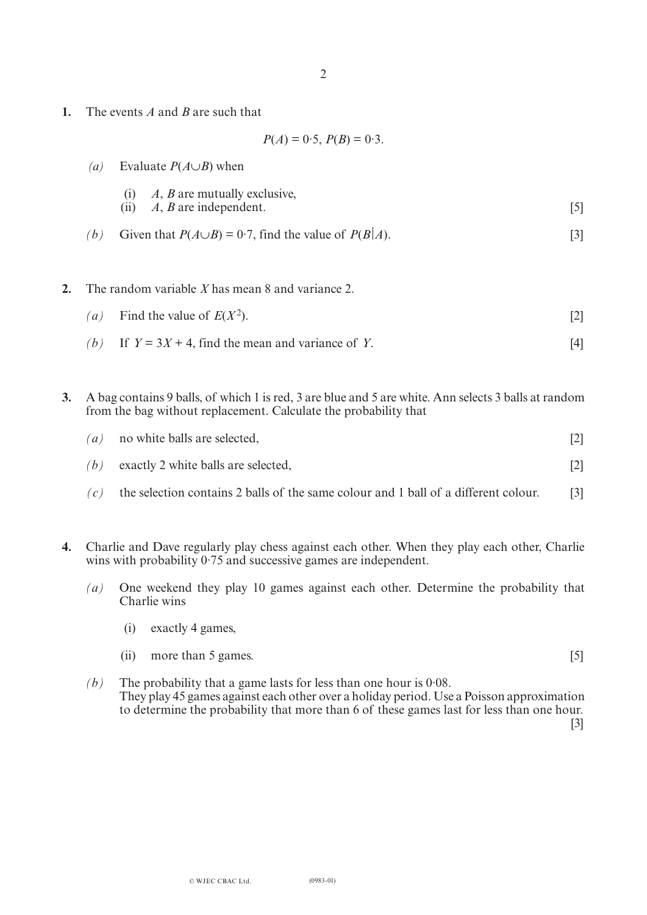**1.** The events *A* and *B* are such that

$$
P(A) = 0.5, P(B) = 0.3.
$$

| $\left( a\right)$ | Evaluate $P(A \cup B)$ when                                        |  |  |
|-------------------|--------------------------------------------------------------------|--|--|
|                   | (i) $A, B$ are mutually exclusive,<br>(ii) $A, B$ are independent. |  |  |

*(b)* Given that  $P(A \cup B) = 0.7$ , find the value of  $P(B|A)$ . [3]

**2.** The random variable *X* has mean 8 and variance 2.

- *(a)* Find the value of  $E(X^2)$ . [2]
	-
	- *(b)* If  $Y = 3X + 4$ , find the mean and variance of *Y*. [4]
- **3.** A bag contains 9 balls, of which 1 is red, 3 are blue and 5 are white. Ann selects 3 balls at random from the bag without replacement. Calculate the probability that

| (a) | no white balls are selected,        | $\lceil 2 \rceil$ |
|-----|-------------------------------------|-------------------|
| (b) | exactly 2 white balls are selected, | $\lceil 2 \rceil$ |

- $(c)$  the selection contains 2 balls of the same colour and 1 ball of a different colour. [3]
- **4.** Charlie and Dave regularly play chess against each other. When they play each other, Charlie wins with probability  $0.75$  and successive games are independent.
	- *(a)* One weekend they play 10 games against each other. Determine the probability that Charlie wins
		- (i) exactly 4 games,
		- (ii) more than 5 games. [5]

*(b)* The probability that a game lasts for less than one hour is 0·08. They play 45 games against each other over a holiday period. Use a Poisson approximation to determine the probability that more than 6 of these games last for less than one hour.

[3]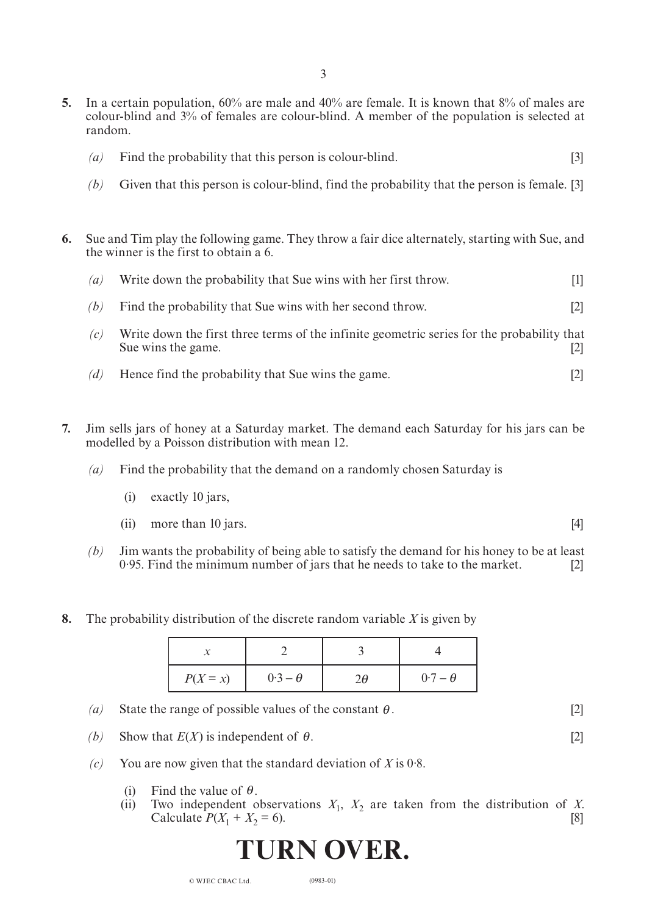- **5.** In a certain population, 60% are male and 40% are female. It is known that 8% of males are colour-blind and 3% of females are colour-blind. A member of the population is selected at random.
	- *(a)* Find the probability that this person is colour-blind. [3]
	- *(b)* Given that this person is colour-blind, find the probability that the person is female. [3]
- **6.** Sue and Tim play the following game. They throw a fair dice alternately, starting with Sue, and the winner is the first to obtain a 6.
	- *(a)* Write down the probability that Sue wins with her first throw. [1]
	- *(b)* Find the probability that Sue wins with her second throw. [2]
	- *(c)* Write down the first three terms of the infinite geometric series for the probability that Sue wins the game. [2]
	- *(d)* Hence find the probability that Sue wins the game. [2]
- **7.** Jim sells jars of honey at a Saturday market. The demand each Saturday for his jars can be modelled by a Poisson distribution with mean 12.
	- *(a)* Find the probability that the demand on a randomly chosen Saturday is
		- (i) exactly 10 jars,
		- (ii) more than 10 jars.  $[4]$
	- *(b)* Jim wants the probability of being able to satisfy the demand for his honey to be at least 0·95. Find the minimum number of jars that he needs to take to the market. [2]
- **8.** The probability distribution of the discrete random variable *X* is given by

| $P(X = x)$ | $0.3 - \theta$ | $0.7 - \theta$ |
|------------|----------------|----------------|

- (*a*) State the range of possible values of the constant  $\theta$ . [2]
- *(b)* Show that  $E(X)$  is independent of  $\theta$ . [2]
- *(c)* You are now given that the standard deviation of *X* is 0·8.
	- (i) Find the value of  $\theta$ .
	- (ii) Two independent observations  $X_1$ ,  $X_2$  are taken from the distribution of *X*.<br>Calculate  $P(X_1 + X_2 = 6)$ . [8] Calculate  $P(X_1 + X_2 = 6)$ .